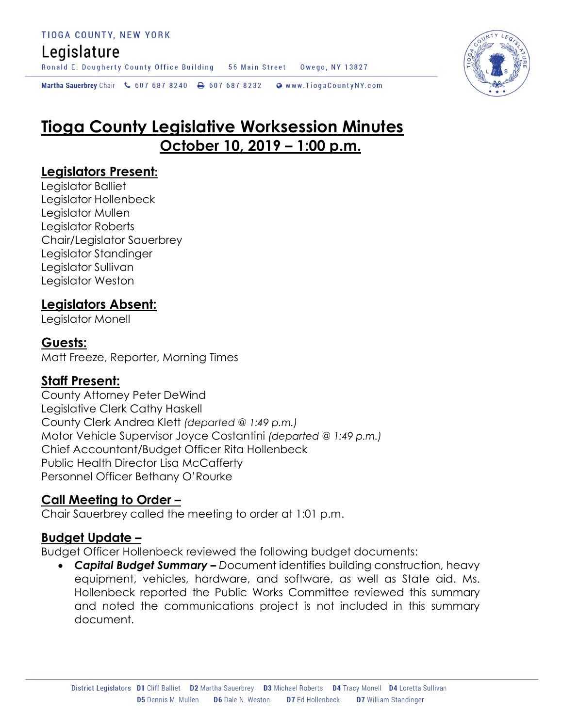Ronald E. Dougherty County Office Building 56 Main Street Owego, NY 13827

Martha Sauerbrey Chair & 607 687 8240 <a>B</a>607 687 8232 <a>B</a>Www.TiogaCountyNY.com

# **Tioga County Legislative Worksession Minutes October 10, 2019 – 1:00 p.m.**

#### **Legislators Present:**

Legislator Balliet Legislator Hollenbeck Legislator Mullen Legislator Roberts Chair/Legislator Sauerbrey Legislator Standinger Legislator Sullivan Legislator Weston

#### **Legislators Absent:**

Legislator Monell

#### **Guests:**

Matt Freeze, Reporter, Morning Times

#### **Staff Present:**

County Attorney Peter DeWind Legislative Clerk Cathy Haskell County Clerk Andrea Klett *(departed @ 1:49 p.m.)* Motor Vehicle Supervisor Joyce Costantini *(departed @ 1:49 p.m.)* Chief Accountant/Budget Officer Rita Hollenbeck Public Health Director Lisa McCafferty Personnel Officer Bethany O'Rourke

#### **Call Meeting to Order –**

Chair Sauerbrey called the meeting to order at 1:01 p.m.

#### **Budget Update –**

Budget Officer Hollenbeck reviewed the following budget documents:

 *Capital Budget Summary – D*ocument identifies building construction, heavy equipment, vehicles, hardware, and software, as well as State aid. Ms. Hollenbeck reported the Public Works Committee reviewed this summary and noted the communications project is not included in this summary document.

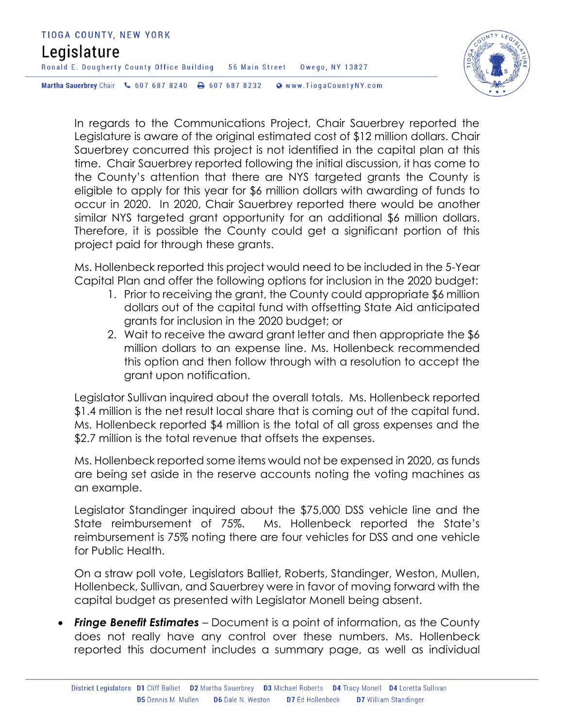

In regards to the Communications Project, Chair Sauerbrey reported the Legislature is aware of the original estimated cost of \$12 million dollars. Chair Sauerbrey concurred this project is not identified in the capital plan at this time. Chair Sauerbrey reported following the initial discussion, it has come to the County's attention that there are NYS targeted grants the County is eligible to apply for this year for \$6 million dollars with awarding of funds to occur in 2020. In 2020, Chair Sauerbrey reported there would be another similar NYS targeted grant opportunity for an additional \$6 million dollars. Therefore, it is possible the County could get a significant portion of this project paid for through these grants.

Ms. Hollenbeck reported this project would need to be included in the 5-Year Capital Plan and offer the following options for inclusion in the 2020 budget:

- 1. Prior to receiving the grant, the County could appropriate \$6 million dollars out of the capital fund with offsetting State Aid anticipated grants for inclusion in the 2020 budget; or
- 2. Wait to receive the award grant letter and then appropriate the \$6 million dollars to an expense line. Ms. Hollenbeck recommended this option and then follow through with a resolution to accept the grant upon notification.

Legislator Sullivan inquired about the overall totals. Ms. Hollenbeck reported \$1.4 million is the net result local share that is coming out of the capital fund. Ms. Hollenbeck reported \$4 million is the total of all gross expenses and the \$2.7 million is the total revenue that offsets the expenses.

Ms. Hollenbeck reported some items would not be expensed in 2020, as funds are being set aside in the reserve accounts noting the voting machines as an example.

Legislator Standinger inquired about the \$75,000 DSS vehicle line and the State reimbursement of 75%. Ms. Hollenbeck reported the State's reimbursement is 75% noting there are four vehicles for DSS and one vehicle for Public Health.

On a straw poll vote, Legislators Balliet, Roberts, Standinger, Weston, Mullen, Hollenbeck, Sullivan, and Sauerbrey were in favor of moving forward with the capital budget as presented with Legislator Monell being absent.

*Fringe Benefit Estimates* – Document is a point of information, as the County does not really have any control over these numbers. Ms. Hollenbeck reported this document includes a summary page, as well as individual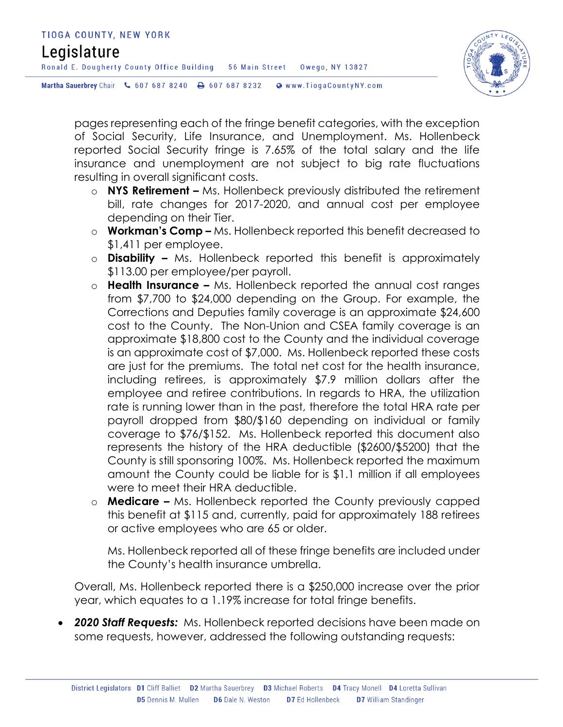

pages representing each of the fringe benefit categories, with the exception of Social Security, Life Insurance, and Unemployment. Ms. Hollenbeck reported Social Security fringe is 7.65% of the total salary and the life insurance and unemployment are not subject to big rate fluctuations resulting in overall significant costs.

- o **NYS Retirement –** Ms. Hollenbeck previously distributed the retirement bill, rate changes for 2017-2020, and annual cost per employee depending on their Tier.
- o **Workman's Comp –** Ms. Hollenbeck reported this benefit decreased to \$1,411 per employee.
- o **Disability –** Ms. Hollenbeck reported this benefit is approximately \$113.00 per employee/per payroll.
- o **Health Insurance –** Ms. Hollenbeck reported the annual cost ranges from \$7,700 to \$24,000 depending on the Group. For example, the Corrections and Deputies family coverage is an approximate \$24,600 cost to the County. The Non-Union and CSEA family coverage is an approximate \$18,800 cost to the County and the individual coverage is an approximate cost of \$7,000. Ms. Hollenbeck reported these costs are just for the premiums. The total net cost for the health insurance, including retirees, is approximately \$7.9 million dollars after the employee and retiree contributions. In regards to HRA, the utilization rate is running lower than in the past, therefore the total HRA rate per payroll dropped from \$80/\$160 depending on individual or family coverage to \$76/\$152. Ms. Hollenbeck reported this document also represents the history of the HRA deductible (\$2600/\$5200) that the County is still sponsoring 100%. Ms. Hollenbeck reported the maximum amount the County could be liable for is \$1.1 million if all employees were to meet their HRA deductible.
- o **Medicare –** Ms. Hollenbeck reported the County previously capped this benefit at \$115 and, currently, paid for approximately 188 retirees or active employees who are 65 or older.

Ms. Hollenbeck reported all of these fringe benefits are included under the County's health insurance umbrella.

Overall, Ms. Hollenbeck reported there is a \$250,000 increase over the prior year, which equates to a 1.19% increase for total fringe benefits.

 *2020 Staff Requests:* Ms. Hollenbeck reported decisions have been made on some requests, however, addressed the following outstanding requests: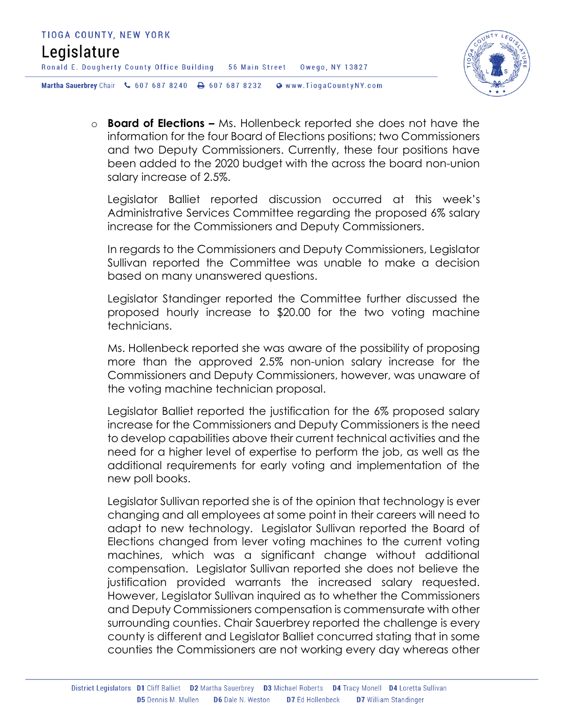

o **Board of Elections –** Ms. Hollenbeck reported she does not have the information for the four Board of Elections positions; two Commissioners and two Deputy Commissioners. Currently, these four positions have been added to the 2020 budget with the across the board non-union salary increase of 2.5%.

Legislator Balliet reported discussion occurred at this week's Administrative Services Committee regarding the proposed 6% salary increase for the Commissioners and Deputy Commissioners.

In regards to the Commissioners and Deputy Commissioners, Legislator Sullivan reported the Committee was unable to make a decision based on many unanswered questions.

Legislator Standinger reported the Committee further discussed the proposed hourly increase to \$20.00 for the two voting machine technicians.

Ms. Hollenbeck reported she was aware of the possibility of proposing more than the approved 2.5% non-union salary increase for the Commissioners and Deputy Commissioners, however, was unaware of the voting machine technician proposal.

Legislator Balliet reported the justification for the 6% proposed salary increase for the Commissioners and Deputy Commissioners is the need to develop capabilities above their current technical activities and the need for a higher level of expertise to perform the job, as well as the additional requirements for early voting and implementation of the new poll books.

Legislator Sullivan reported she is of the opinion that technology is ever changing and all employees at some point in their careers will need to adapt to new technology. Legislator Sullivan reported the Board of Elections changed from lever voting machines to the current voting machines, which was a significant change without additional compensation. Legislator Sullivan reported she does not believe the justification provided warrants the increased salary requested. However, Legislator Sullivan inquired as to whether the Commissioners and Deputy Commissioners compensation is commensurate with other surrounding counties. Chair Sauerbrey reported the challenge is every county is different and Legislator Balliet concurred stating that in some counties the Commissioners are not working every day whereas other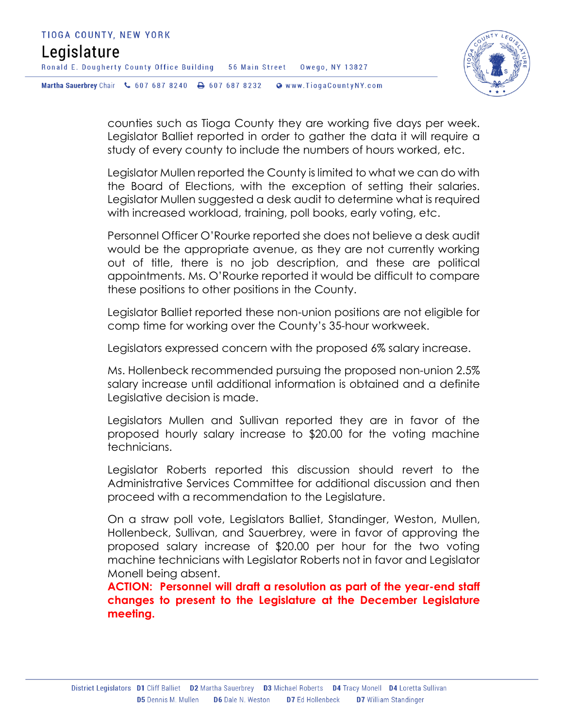

counties such as Tioga County they are working five days per week. Legislator Balliet reported in order to gather the data it will require a study of every county to include the numbers of hours worked, etc.

Legislator Mullen reported the County is limited to what we can do with the Board of Elections, with the exception of setting their salaries. Legislator Mullen suggested a desk audit to determine what is required with increased workload, training, poll books, early voting, etc.

Personnel Officer O'Rourke reported she does not believe a desk audit would be the appropriate avenue, as they are not currently working out of title, there is no job description, and these are political appointments. Ms. O'Rourke reported it would be difficult to compare these positions to other positions in the County.

Legislator Balliet reported these non-union positions are not eligible for comp time for working over the County's 35-hour workweek.

Legislators expressed concern with the proposed 6% salary increase.

Ms. Hollenbeck recommended pursuing the proposed non-union 2.5% salary increase until additional information is obtained and a definite Legislative decision is made.

Legislators Mullen and Sullivan reported they are in favor of the proposed hourly salary increase to \$20.00 for the voting machine technicians.

Legislator Roberts reported this discussion should revert to the Administrative Services Committee for additional discussion and then proceed with a recommendation to the Legislature.

On a straw poll vote, Legislators Balliet, Standinger, Weston, Mullen, Hollenbeck, Sullivan, and Sauerbrey, were in favor of approving the proposed salary increase of \$20.00 per hour for the two voting machine technicians with Legislator Roberts not in favor and Legislator Monell being absent.

**ACTION: Personnel will draft a resolution as part of the year-end staff changes to present to the Legislature at the December Legislature meeting.**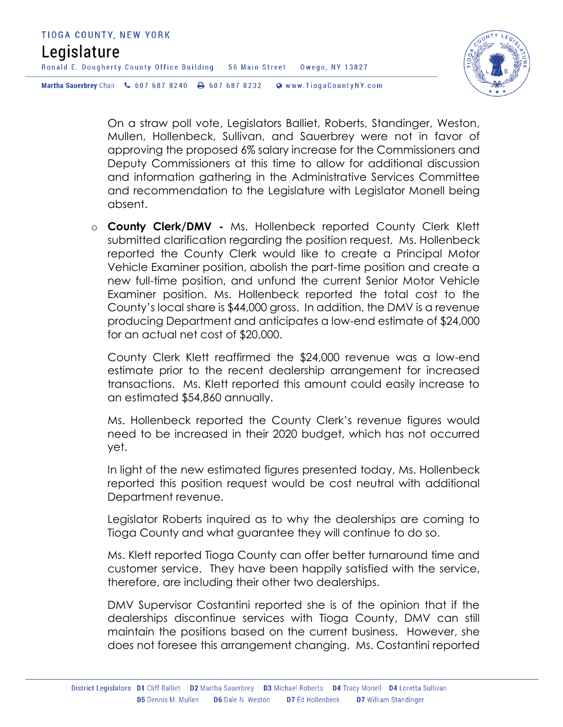

On a straw poll vote, Legislators Balliet, Roberts, Standinger, Weston, Mullen, Hollenbeck, Sullivan, and Sauerbrey were not in favor of approving the proposed 6% salary increase for the Commissioners and Deputy Commissioners at this time to allow for additional discussion and information gathering in the Administrative Services Committee and recommendation to the Legislature with Legislator Monell being absent.

o **County Clerk/DMV -** Ms. Hollenbeck reported County Clerk Klett submitted clarification regarding the position request. Ms. Hollenbeck reported the County Clerk would like to create a Principal Motor Vehicle Examiner position, abolish the part-time position and create a new full-time position, and unfund the current Senior Motor Vehicle Examiner position. Ms. Hollenbeck reported the total cost to the County's local share is \$44,000 gross. In addition, the DMV is a revenue producing Department and anticipates a low-end estimate of \$24,000 for an actual net cost of \$20,000.

County Clerk Klett reaffirmed the \$24,000 revenue was a low-end estimate prior to the recent dealership arrangement for increased transactions. Ms. Klett reported this amount could easily increase to an estimated \$54,860 annually.

Ms. Hollenbeck reported the County Clerk's revenue figures would need to be increased in their 2020 budget, which has not occurred yet.

In light of the new estimated figures presented today, Ms. Hollenbeck reported this position request would be cost neutral with additional Department revenue.

Legislator Roberts inquired as to why the dealerships are coming to Tioga County and what guarantee they will continue to do so.

Ms. Klett reported Tioga County can offer better turnaround time and customer service. They have been happily satisfied with the service, therefore, are including their other two dealerships.

DMV Supervisor Costantini reported she is of the opinion that if the dealerships discontinue services with Tioga County, DMV can still maintain the positions based on the current business. However, she does not foresee this arrangement changing. Ms. Costantini reported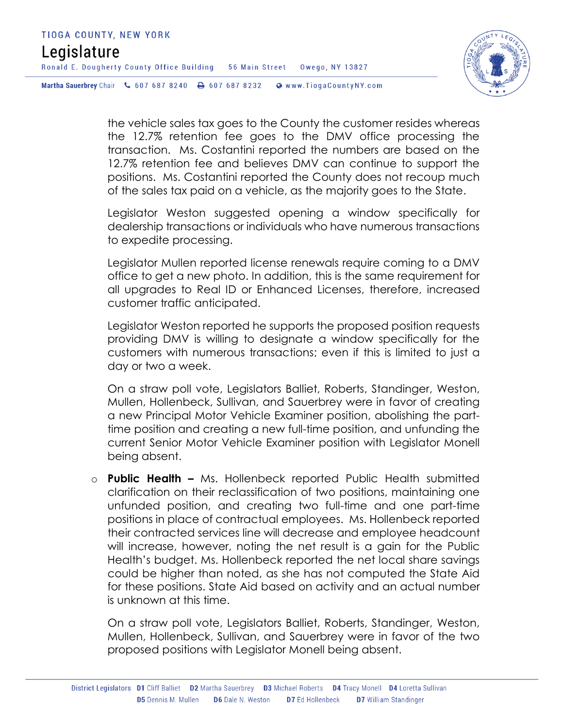Ronald E. Dougherty County Office Building 56 Main Street Owego, NY 13827



Martha Sauerbrey Chair & 607 687 8240 <a>B</a>607 687 8232 <a>B</a>Www.TiogaCountyNY.com

the vehicle sales tax goes to the County the customer resides whereas the 12.7% retention fee goes to the DMV office processing the transaction. Ms. Costantini reported the numbers are based on the 12.7% retention fee and believes DMV can continue to support the positions. Ms. Costantini reported the County does not recoup much of the sales tax paid on a vehicle, as the majority goes to the State.

Legislator Weston suggested opening a window specifically for dealership transactions or individuals who have numerous transactions to expedite processing.

Legislator Mullen reported license renewals require coming to a DMV office to get a new photo. In addition, this is the same requirement for all upgrades to Real ID or Enhanced Licenses, therefore, increased customer traffic anticipated.

Legislator Weston reported he supports the proposed position requests providing DMV is willing to designate a window specifically for the customers with numerous transactions; even if this is limited to just a day or two a week.

On a straw poll vote, Legislators Balliet, Roberts, Standinger, Weston, Mullen, Hollenbeck, Sullivan, and Sauerbrey were in favor of creating a new Principal Motor Vehicle Examiner position, abolishing the parttime position and creating a new full-time position, and unfunding the current Senior Motor Vehicle Examiner position with Legislator Monell being absent.

o **Public Health –** Ms. Hollenbeck reported Public Health submitted clarification on their reclassification of two positions, maintaining one unfunded position, and creating two full-time and one part-time positions in place of contractual employees. Ms. Hollenbeck reported their contracted services line will decrease and employee headcount will increase, however, noting the net result is a gain for the Public Health's budget. Ms. Hollenbeck reported the net local share savings could be higher than noted, as she has not computed the State Aid for these positions. State Aid based on activity and an actual number is unknown at this time.

On a straw poll vote, Legislators Balliet, Roberts, Standinger, Weston, Mullen, Hollenbeck, Sullivan, and Sauerbrey were in favor of the two proposed positions with Legislator Monell being absent.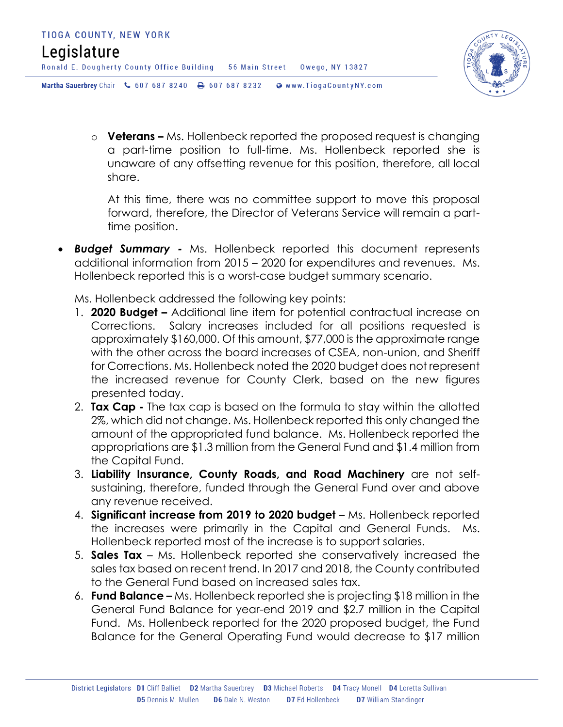Ronald E. Dougherty County Office Building 56 Main Street Owego, NY 13827



Martha Sauerbrey Chair & 607 687 8240 A 607 687 8232 @ www.TiogaCountyNY.com

o **Veterans –** Ms. Hollenbeck reported the proposed request is changing a part-time position to full-time. Ms. Hollenbeck reported she is unaware of any offsetting revenue for this position, therefore, all local share.

At this time, there was no committee support to move this proposal forward, therefore, the Director of Veterans Service will remain a parttime position.

 *Budget Summary -* Ms. Hollenbeck reported this document represents additional information from 2015 – 2020 for expenditures and revenues. Ms. Hollenbeck reported this is a worst-case budget summary scenario.

Ms. Hollenbeck addressed the following key points:

- 1. **2020 Budget –** Additional line item for potential contractual increase on Corrections. Salary increases included for all positions requested is approximately \$160,000. Of this amount, \$77,000 is the approximate range with the other across the board increases of CSEA, non-union, and Sheriff for Corrections. Ms. Hollenbeck noted the 2020 budget does not represent the increased revenue for County Clerk, based on the new figures presented today.
- 2. **Tax Cap -** The tax cap is based on the formula to stay within the allotted 2%, which did not change. Ms. Hollenbeck reported this only changed the amount of the appropriated fund balance. Ms. Hollenbeck reported the appropriations are \$1.3 million from the General Fund and \$1.4 million from the Capital Fund.
- 3. **Liability Insurance, County Roads, and Road Machinery** are not selfsustaining, therefore, funded through the General Fund over and above any revenue received.
- 4. **Significant increase from 2019 to 2020 budget** Ms. Hollenbeck reported the increases were primarily in the Capital and General Funds. Ms. Hollenbeck reported most of the increase is to support salaries.
- 5. **Sales Tax**  Ms. Hollenbeck reported she conservatively increased the sales tax based on recent trend. In 2017 and 2018, the County contributed to the General Fund based on increased sales tax.
- 6. **Fund Balance –** Ms. Hollenbeck reported she is projecting \$18 million in the General Fund Balance for year-end 2019 and \$2.7 million in the Capital Fund. Ms. Hollenbeck reported for the 2020 proposed budget, the Fund Balance for the General Operating Fund would decrease to \$17 million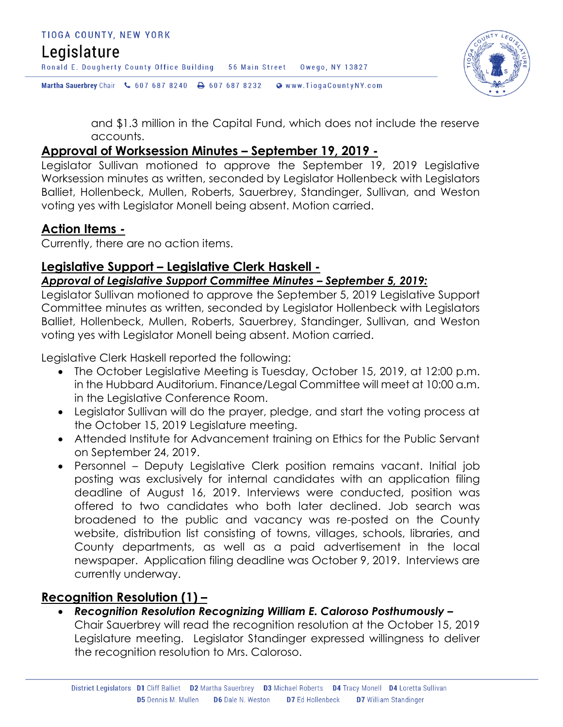Ronald E. Dougherty County Office Building 56 Main Street Owego, NY 13827

Martha Sauerbrey Chair & 607 687 8240 <a>B</a>607 687 8232 <a>B</a>Www.TiogaCountyNY.com

and \$1.3 million in the Capital Fund, which does not include the reserve accounts.

#### **Approval of Worksession Minutes – September 19, 2019 -**

Legislator Sullivan motioned to approve the September 19, 2019 Legislative Worksession minutes as written, seconded by Legislator Hollenbeck with Legislators Balliet, Hollenbeck, Mullen, Roberts, Sauerbrey, Standinger, Sullivan, and Weston voting yes with Legislator Monell being absent. Motion carried.

#### **Action Items -**

Currently, there are no action items.

### **Legislative Support – Legislative Clerk Haskell -**

#### *Approval of Legislative Support Committee Minutes – September 5, 2019:*

Legislator Sullivan motioned to approve the September 5, 2019 Legislative Support Committee minutes as written, seconded by Legislator Hollenbeck with Legislators Balliet, Hollenbeck, Mullen, Roberts, Sauerbrey, Standinger, Sullivan, and Weston voting yes with Legislator Monell being absent. Motion carried.

Legislative Clerk Haskell reported the following:

- The October Legislative Meeting is Tuesday, October 15, 2019, at 12:00 p.m. in the Hubbard Auditorium. Finance/Legal Committee will meet at 10:00 a.m. in the Legislative Conference Room.
- Legislator Sullivan will do the prayer, pledge, and start the voting process at the October 15, 2019 Legislature meeting.
- Attended Institute for Advancement training on Ethics for the Public Servant on September 24, 2019.
- Personnel Deputy Legislative Clerk position remains vacant. Initial job posting was exclusively for internal candidates with an application filing deadline of August 16, 2019. Interviews were conducted, position was offered to two candidates who both later declined. Job search was broadened to the public and vacancy was re-posted on the County website, distribution list consisting of towns, villages, schools, libraries, and County departments, as well as a paid advertisement in the local newspaper. Application filing deadline was October 9, 2019. Interviews are currently underway.

#### **Recognition Resolution (1) –**

 *Recognition Resolution Recognizing William E. Caloroso Posthumously –* Chair Sauerbrey will read the recognition resolution at the October 15, 2019 Legislature meeting. Legislator Standinger expressed willingness to deliver the recognition resolution to Mrs. Caloroso.